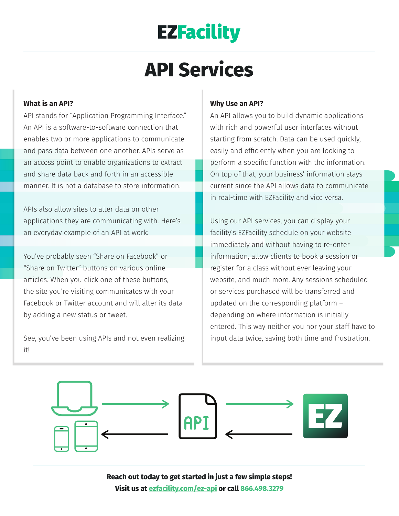## **EZFacility**

# **API Services**

#### **What is an API?**

API stands for "Application Programming Interface." An API is a software-to-software connection that enables two or more applications to communicate and pass data between one another. APIs serve as an access point to enable organizations to extract and share data back and forth in an accessible manner. It is not a database to store information.

APIs also allow sites to alter data on other applications they are communicating with. Here's an everyday example of an API at work:

You've probably seen "Share on Facebook" or "Share on Twitter" buttons on various online articles. When you click one of these buttons, the site you're visiting communicates with your Facebook or Twitter account and will alter its data by adding a new status or tweet.

See, you've been using APIs and not even realizing it!

#### **Why Use an API?**

An API allows you to build dynamic applications with rich and powerful user interfaces without starting from scratch. Data can be used quickly, easily and efficiently when you are looking to perform a specific function with the information. On top of that, your business' information stays current since the API allows data to communicate in real-time with EZFacility and vice versa.

Using our API services, you can display your facility's EZFacility schedule on your website immediately and without having to re-enter information, allow clients to book a session or register for a class without ever leaving your website, and much more. Any sessions scheduled or services purchased will be transferred and updated on the corresponding platform – depending on where information is initially entered. This way neither you nor your staff have to input data twice, saving both time and frustration.



**Reach out today to get started in just a few simple steps! Visit us at [ezfacility.com/ez-api](https://www.ezfacility.com/ez-api) or call 866.498.3279**